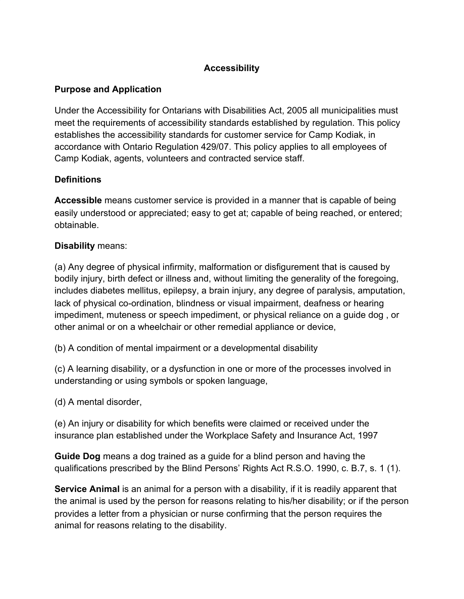## **Accessibility**

# **Purpose and Application**

Under the Accessibility for Ontarians with Disabilities Act, 2005 all municipalities must meet the requirements of accessibility standards established by regulation. This policy establishes the accessibility standards for customer service for Camp Kodiak, in accordance with Ontario Regulation 429/07. This policy applies to all employees of Camp Kodiak, agents, volunteers and contracted service staff.

# **Definitions**

**Accessible** means customer service is provided in a manner that is capable of being easily understood or appreciated; easy to get at; capable of being reached, or entered; obtainable.

## **Disability** means:

(a) Any degree of physical infirmity, malformation or disfigurement that is caused by bodily injury, birth defect or illness and, without limiting the generality of the foregoing, includes diabetes mellitus, epilepsy, a brain injury, any degree of paralysis, amputation, lack of physical co-ordination, blindness or visual impairment, deafness or hearing impediment, muteness or speech impediment, or physical reliance on a guide dog , or other animal or on a wheelchair or other remedial appliance or device,

(b) A condition of mental impairment or a developmental disability

(c) A learning disability, or a dysfunction in one or more of the processes involved in understanding or using symbols or spoken language,

(d) A mental disorder,

(e) An injury or disability for which benefits were claimed or received under the insurance plan established under the Workplace Safety and Insurance Act, 1997

**Guide Dog** means a dog trained as a guide for a blind person and having the qualifications prescribed by the Blind Persons' Rights Act R.S.O. 1990, c. B.7, s. 1 (1).

**Service Animal** is an animal for a person with a disability, if it is readily apparent that the animal is used by the person for reasons relating to his/her disability; or if the person provides a letter from a physician or nurse confirming that the person requires the animal for reasons relating to the disability.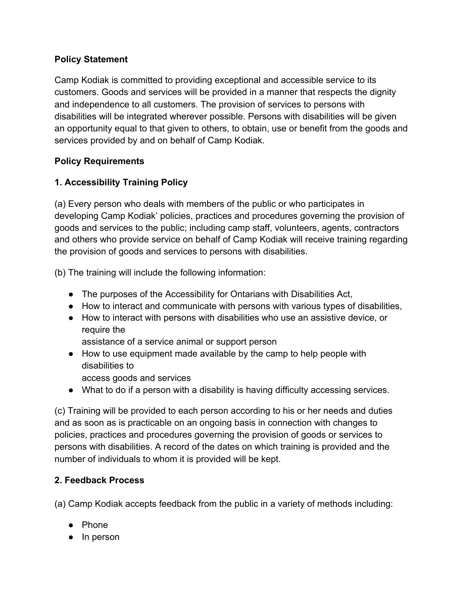### **Policy Statement**

Camp Kodiak is committed to providing exceptional and accessible service to its customers. Goods and services will be provided in a manner that respects the dignity and independence to all customers. The provision of services to persons with disabilities will be integrated wherever possible. Persons with disabilities will be given an opportunity equal to that given to others, to obtain, use or benefit from the goods and services provided by and on behalf of Camp Kodiak.

## **Policy Requirements**

# **1. Accessibility Training Policy**

(a) Every person who deals with members of the public or who participates in developing Camp Kodiak' policies, practices and procedures governing the provision of goods and services to the public; including camp staff, volunteers, agents, contractors and others who provide service on behalf of Camp Kodiak will receive training regarding the provision of goods and services to persons with disabilities.

(b) The training will include the following information:

- The purposes of the Accessibility for Ontarians with Disabilities Act,
- How to interact and communicate with persons with various types of disabilities,
- How to interact with persons with disabilities who use an assistive device, or require the

assistance of a service animal or support person

- How to use equipment made available by the camp to help people with disabilities to
	- access goods and services
- What to do if a person with a disability is having difficulty accessing services.

(c) Training will be provided to each person according to his or her needs and duties and as soon as is practicable on an ongoing basis in connection with changes to policies, practices and procedures governing the provision of goods or services to persons with disabilities. A record of the dates on which training is provided and the number of individuals to whom it is provided will be kept.

# **2. Feedback Process**

(a) Camp Kodiak accepts feedback from the public in a variety of methods including:

- Phone
- In person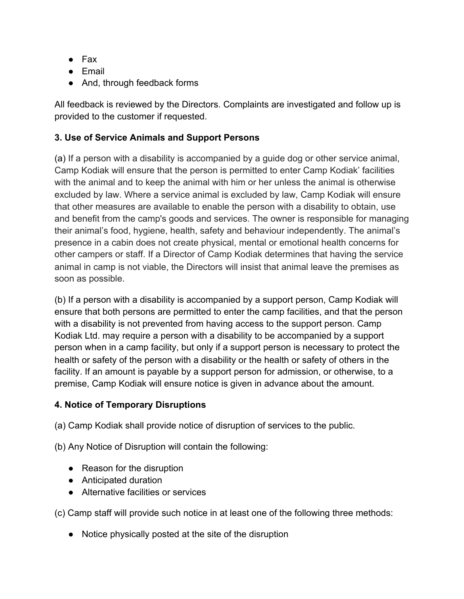- Fax
- Email
- And, through feedback forms

All feedback is reviewed by the Directors. Complaints are investigated and follow up is provided to the customer if requested.

## **3. Use of Service Animals and Support Persons**

(a) If a person with a disability is accompanied by a guide dog or other service animal, Camp Kodiak will ensure that the person is permitted to enter Camp Kodiak' facilities with the animal and to keep the animal with him or her unless the animal is otherwise excluded by law. Where a service animal is excluded by law, Camp Kodiak will ensure that other measures are available to enable the person with a disability to obtain, use and benefit from the camp's goods and services. The owner is responsible for managing their animal's food, hygiene, health, safety and behaviour independently. The animal's presence in a cabin does not create physical, mental or emotional health concerns for other campers or staff. If a Director of Camp Kodiak determines that having the service animal in camp is not viable, the Directors will insist that animal leave the premises as soon as possible.

(b) If a person with a disability is accompanied by a support person, Camp Kodiak will ensure that both persons are permitted to enter the camp facilities, and that the person with a disability is not prevented from having access to the support person. Camp Kodiak Ltd. may require a person with a disability to be accompanied by a support person when in a camp facility, but only if a support person is necessary to protect the health or safety of the person with a disability or the health or safety of others in the facility. If an amount is payable by a support person for admission, or otherwise, to a premise, Camp Kodiak will ensure notice is given in advance about the amount.

## **4. Notice of Temporary Disruptions**

(a) Camp Kodiak shall provide notice of disruption of services to the public.

(b) Any Notice of Disruption will contain the following:

- Reason for the disruption
- Anticipated duration
- Alternative facilities or services

(c) Camp staff will provide such notice in at least one of the following three methods:

● Notice physically posted at the site of the disruption